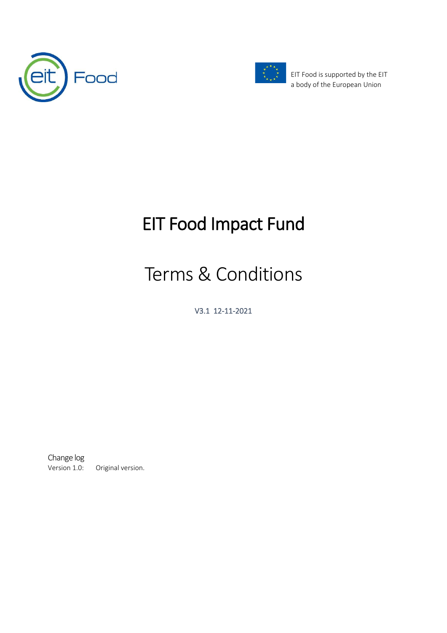



EIT Food is supported by the EIT a body of the European Union

# EIT Food Impact Fund

# Terms & Conditions

V3.1 12-11-2021

Change log<br>Version 1.0: Original version.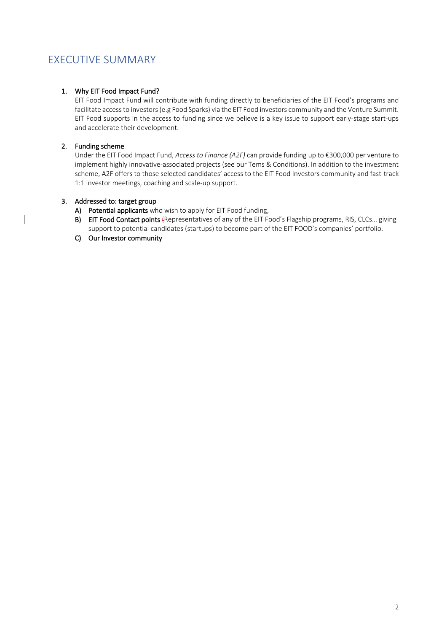# <span id="page-1-0"></span>EXECUTIVE SUMMARY

### 1. Why EIT Food Impact Fund?

EIT Food Impact Fund will contribute with funding directly to beneficiaries of the EIT Food's programs and facilitate access to investors(e.g Food Sparks) via the EIT Food investors community and the Venture Summit. EIT Food supports in the access to funding since we believe is a key issue to support early-stage start-ups and accelerate their development.

#### 2. Funding scheme

Under the EIT Food Impact Fund, *Access to Finance (A2F)* can provide funding up to €300,000 per venture to implement highly innovative-associated projects (see our Tems & Conditions). In addition to the investment scheme, A2F offers to those selected candidates' access to the EIT Food Investors community and fast-track 1:1 investor meetings, coaching and scale-up support.

#### 3. Addressed to: target group

- A) Potential applicants who wish to apply for EIT Food funding,
- B) EIT Food Contact points (Representatives of any of the EIT Food's Flagship programs, RIS, CLCs... giving support to potential candidates (startups) to become part of the EIT FOOD's companies' portfolio.
- C) Our Investor community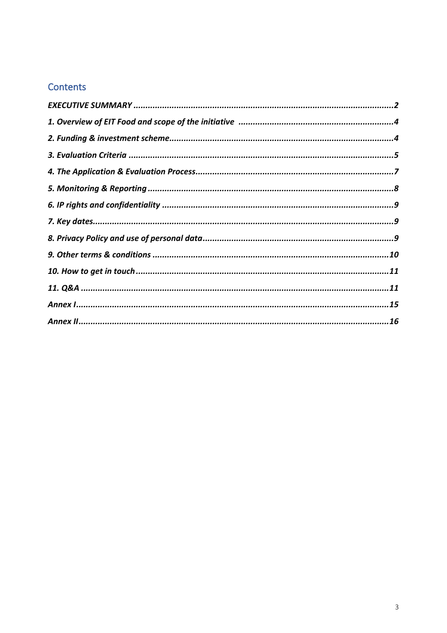# Contents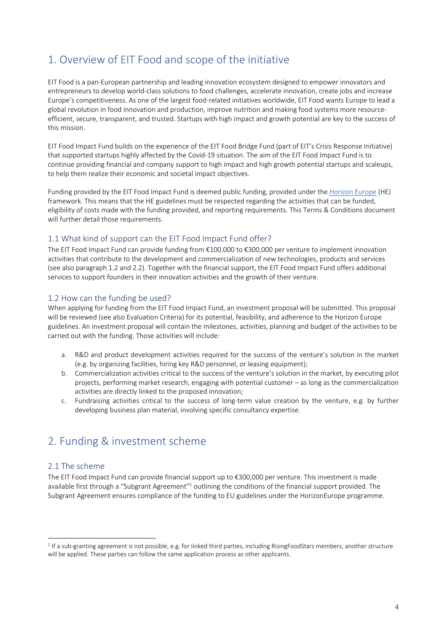# <span id="page-3-0"></span>1. Overview of EIT Food and scope of the initiative

EIT Food is a pan-European partnership and leading innovation ecosystem designed to empower innovators and entrepreneurs to develop world-class solutions to food challenges, accelerate innovation, create jobs and increase Europe's competitiveness. As one of the largest food-related initiatives worldwide, EIT Food wants Europe to lead a global revolution in food innovation and production, improve nutrition and making food systems more resourceefficient, secure, transparent, and trusted. Startups with high impact and growth potential are key to the success of this mission.

EIT Food Impact Fund builds on the experience of the EIT Food Bridge Fund (part of EIT's Crisis Response Initiative) that supported startups highly affected by the Covid-19 situation. The aim of the EIT Food Impact Fund is to continue providing financial and company support to high impact and high growth potential startups and scaleups, to help them realize their economic and societal impact objectives.

Funding provided by the EIT Food Impact Fund is deemed public funding, provided under the [Horizon Europe](https://ec.europa.eu/info/horizon-europe_en) (HE) framework. This means that the HE guidelines must be respected regarding the activities that can be funded, eligibility of costs made with the funding provided, and reporting requirements. This Terms & Conditions document will further detail those requirements.

### 1.1 What kind of support can the EIT Food Impact Fund offer?

The EIT Food Impact Fund can provide funding from €100,000 to €300,000 per venture to implement innovation activities that contribute to the development and commercialization of new technologies, products and services (see also paragraph 1.2 and 2.2). Together with the financial support, the EIT Food Impact Fund offers additional services to support founders in their innovation activities and the growth of their venture.

### 1.2 How can the funding be used?

When applying for funding from the EIT Food Impact Fund, an investment proposal will be submitted. This proposal will be reviewed (see also Evaluation Criteria) for its potential, feasibility, and adherence to the Horizon Europe guidelines. An investment proposal will contain the milestones, activities, planning and budget of the activities to be carried out with the funding. Those activities will include:

- a. R&D and product development activities required for the success of the venture's solution in the market (e.g. by organizing facilities, hiring key R&D personnel, or leasing equipment);
- b. Commercialization activities critical to the success of the venture's solution in the market, by executing pilot projects, performing market research, engaging with potential customer – as long as the commercialization activities are directly linked to the proposed innovation;
- c. Fundraising activities critical to the success of long-term value creation by the venture, e.g. by further developing business plan material, involving specific consultancy expertise.

# <span id="page-3-1"></span>2. Funding & investment scheme

### 2.1 The scheme

The EIT Food Impact Fund can provide financial support up to €300,000 per venture. This investment is made available first through a "Subgrant Agreement"<sup>1</sup> outlining the conditions of the financial support provided. The Subgrant Agreement ensures compliance of the funding to EU guidelines under the HorizonEurope programme.

<sup>&</sup>lt;sup>1</sup> If a sub-granting agreement is not possible, e.g. for linked third parties, including RisingFoodStars members, another structure will be applied. These parties can follow the same application process as other applicants.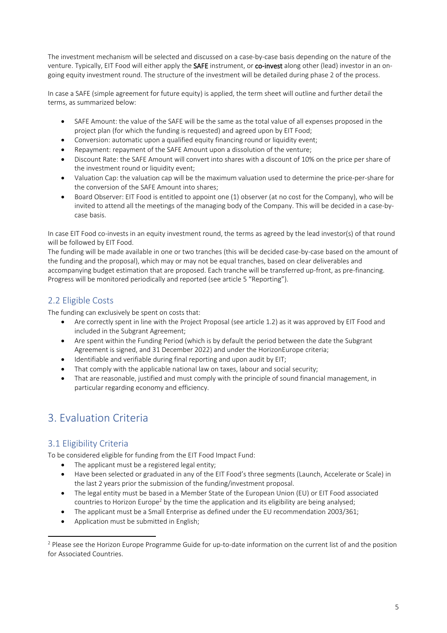The investment mechanism will be selected and discussed on a case-by-case basis depending on the nature of the venture. Typically, EIT Food will either apply the SAFE instrument, or co-invest along other (lead) investor in an ongoing equity investment round. The structure of the investment will be detailed during phase 2 of the process.

In case a SAFE (simple agreement for future equity) is applied, the term sheet will outline and further detail the terms, as summarized below:

- SAFE Amount: the value of the SAFE will be the same as the total value of all expenses proposed in the project plan (for which the funding is requested) and agreed upon by EIT Food;
- Conversion: automatic upon a qualified equity financing round or liquidity event;
- Repayment: repayment of the SAFE Amount upon a dissolution of the venture;
- Discount Rate: the SAFE Amount will convert into shares with a discount of 10% on the price per share of the investment round or liquidity event;
- Valuation Cap: the valuation cap will be the maximum valuation used to determine the price-per-share for the conversion of the SAFE Amount into shares;
- Board Observer: EIT Food is entitled to appoint one (1) observer (at no cost for the Company), who will be invited to attend all the meetings of the managing body of the Company. This will be decided in a case-bycase basis.

In case EIT Food co-invests in an equity investment round, the terms as agreed by the lead investor(s) of that round will be followed by EIT Food.

The funding will be made available in one or two tranches (this will be decided case-by-case based on the amount of the funding and the proposal), which may or may not be equal tranches, based on clear deliverables and accompanying budget estimation that are proposed. Each tranche will be transferred up-front, as pre-financing. Progress will be monitored periodically and reported (see article 5 "Reporting").

## 2.2 Eligible Costs

The funding can exclusively be spent on costs that:

- Are correctly spent in line with the Project Proposal (see article 1.2) as it was approved by EIT Food and included in the Subgrant Agreement;
- Are spent within the Funding Period (which is by default the period between the date the Subgrant Agreement is signed, and 31 December 2022) and under the HorizonEurope criteria;
- Identifiable and verifiable during final reporting and upon audit by EIT;
- That comply with the applicable national law on taxes, labour and social security;
- That are reasonable, justified and must comply with the principle of sound financial management, in particular regarding economy and efficiency.

# <span id="page-4-0"></span>3. Evaluation Criteria

## 3.1 Eligibility Criteria

To be considered eligible for funding from the EIT Food Impact Fund:

- The applicant must be a registered legal entity;
- Have been selected or graduated in any of the EIT Food's three segments (Launch, Accelerate or Scale) in the last 2 years prior the submission of the funding/investment proposal.
- The legal entity must be based in a Member State of the European Union (EU) or EIT Food [associated](http://ec.europa.eu/research/participants/data/ref/h2020/grants_manual/hi/3cpart/h2020-hi-list-ac_en.pdf)  [countries](http://ec.europa.eu/research/participants/data/ref/h2020/grants_manual/hi/3cpart/h2020-hi-list-ac_en.pdf) to Horizon Europe<sup>2</sup> by the time the application and its eligibility are being analysed;
- The applicant must be a Small Enterprise as defined under th[e EU recommendation 2003/361;](https://ec.europa.eu/growth/smes/business-friendly-environment/sme-definition_en)
- Application must be submitted in English;

 $2$  Please see the Horizon Europe Programme Guide for up-to-date information on the current list of and the position for Associated Countries.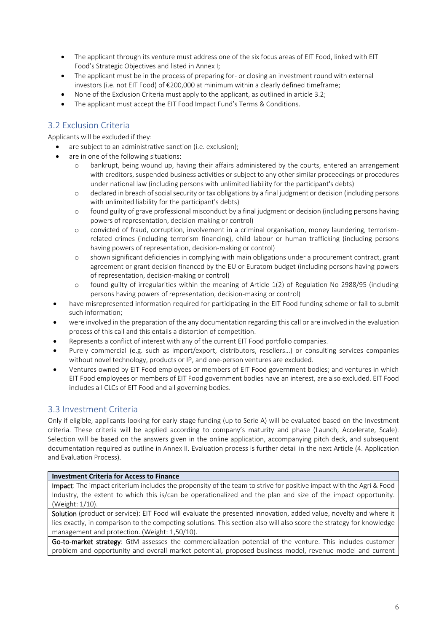- The applicant through its venture must address one of the six focus areas of EIT Food, linked with EIT Food's Strategic Objectives and listed in Annex I;
- The applicant must be in the process of preparing for- or closing an investment round with external investors (i.e. not EIT Food) of €200,000 at minimum within a clearly defined timeframe;
- None of the Exclusion Criteria must apply to the applicant, as outlined in article 3.2;
- The applicant must accept the EIT Food Impact Fund's Terms & Conditions.

## 3.2 Exclusion Criteria

Applicants will be excluded if they:

- are subject to an administrative sanction (i.e. exclusion);
- are in one of the following situations:
	- o bankrupt, being wound up, having their affairs administered by the courts, entered an arrangement with creditors, suspended business activities or subject to any other similar proceedings or procedures under national law (including persons with unlimited liability for the participant's debts)
	- o declared in breach of social security or tax obligations by a final judgment or decision (including persons with unlimited liability for the participant's debts)
	- o found guilty of grave professional misconduct by a final judgment or decision (including persons having powers of representation, decision-making or control)
	- o convicted of fraud, corruption, involvement in a criminal organisation, money laundering, terrorismrelated crimes (including terrorism financing), child labour or human trafficking (including persons having powers of representation, decision-making or control)
	- o shown significant deficiencies in complying with main obligations under a procurement contract, grant agreement or grant decision financed by the EU or Euratom budget (including persons having powers of representation, decision-making or control)
	- o found guilty of irregularities within the meaning of Article 1(2) of Regulation No 2988/95 (including persons having powers of representation, decision-making or control)
- have misrepresented information required for participating in the EIT Food funding scheme or fail to submit such information;
- were involved in the preparation of the any documentation regarding this call or are involved in the evaluation process of this call and this entails a distortion of competition.
- Represents a conflict of interest with any of the current EIT Food portfolio companies.
- Purely commercial (e.g. such as import/export, distributors, resellers…) or consulting services companies without novel technology, products or IP, and one-person ventures are excluded.
- Ventures owned by EIT Food employees or members of EIT Food government bodies; and ventures in which EIT Food employees or members of EIT Food government bodies have an interest, are also excluded. EIT Food includes all CLCs of EIT Food and all governing bodies.

### 3.3 Investment Criteria

Only if eligible, applicants looking for early-stage funding (up to Serie A) will be evaluated based on the Investment criteria. These criteria will be applied according to company's maturity and phase (Launch, Accelerate, Scale). Selection will be based on the answers given in the online application, accompanying pitch deck, and subsequent documentation required as outline in Annex II. Evaluation process is further detail in the next Article (4. Application and Evaluation Process).

#### **Investment Criteria for Access to Finance**

Impact: The impact criterium includes the propensity of the team to strive for positive impact with the Agri & Food Industry, the extent to which this is/can be operationalized and the plan and size of the impact opportunity. (Weight: 1/10).

Solution (product or service): EIT Food will evaluate the presented innovation, added value, novelty and where it lies exactly, in comparison to the competing solutions. This section also will also score the strategy for knowledge management and protection. (Weight: 1,50/10).

Go-to-market strategy: GtM assesses the commercialization potential of the venture. This includes customer problem and opportunity and overall market potential, proposed business model, revenue model and current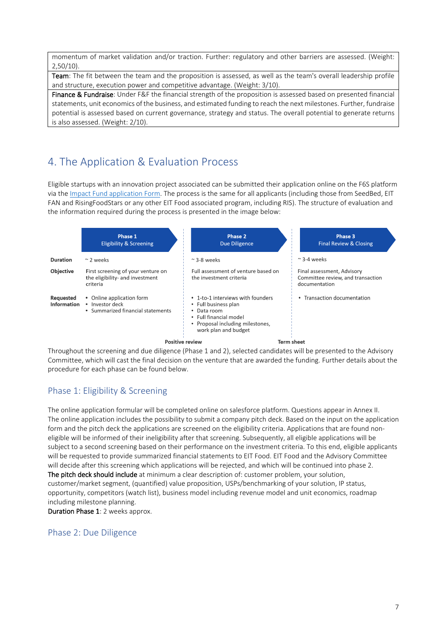momentum of market validation and/or traction. Further: regulatory and other barriers are assessed. (Weight:  $2,50/10$ 

Team: The fit between the team and the proposition is assessed, as well as the team's overall leadership profile and structure, execution power and competitive advantage. (Weight: 3/10).

Finance & Fundraise: Under F&F the financial strength of the proposition is assessed based on presented financial statements, unit economics of the business, and estimated funding to reach the next milestones. Further, fundraise potential is assessed based on current governance, strategy and status. The overall potential to generate returns is also assessed. (Weight: 2/10).

# <span id="page-6-0"></span>4. The Application & Evaluation Process

Eligible startups with an innovation project associated can be submitted their application online on the F6S platform via the *Impact Fund application Form*. The process is the same for all applicants (including those from SeedBed, EIT FAN and RisingFoodStars or any other EIT Food associated program, including RIS). The structure of evaluation and the information required during the process is presented in the image below:



Throughout the screening and due diligence (Phase 1 and 2), selected candidates will be presented to the Advisory Committee, which will cast the final decision on the venture that are awarded the funding. Further details about the procedure for each phase can be found below.

## Phase 1: Eligibility & Screening

The online application formular will be completed online on salesforce platform. Questions appear in Annex II. The online application includes the possibility to submit a company pitch deck. Based on the input on the application form and the pitch deck the applications are screened on the eligibility criteria. Applications that are found noneligible will be informed of their ineligibility after that screening. Subsequently, all eligible applications will be subject to a second screening based on their performance on the investment criteria. To this end, eligible applicants will be requested to provide summarized financial statements to EIT Food. EIT Food and the Advisory Committee will decide after this screening which applications will be rejected, and which will be continued into phase 2. The pitch deck should include at minimum a clear description of: customer problem, your solution, customer/market segment, (quantified) value proposition, USPs/benchmarking of your solution, IP status, opportunity, competitors (watch list), business model including revenue model and unit economics, roadmap including milestone planning.

Duration Phase 1: 2 weeks approx.

### Phase 2: Due Diligence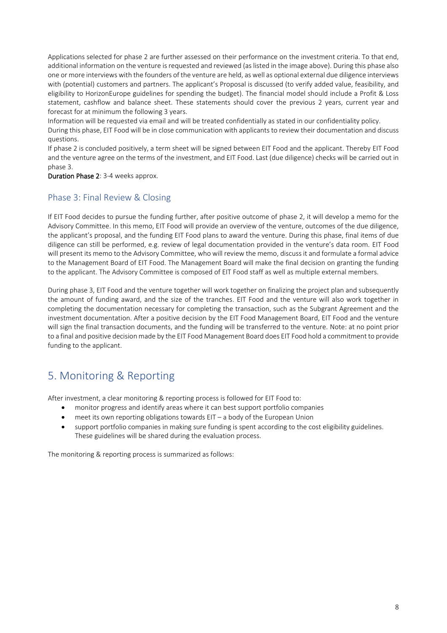Applications selected for phase 2 are further assessed on their performance on the investment criteria. To that end, additional information on the venture is requested and reviewed (as listed in the image above). During this phase also one or more interviews with the founders of the venture are held, as well as optional external due diligence interviews with (potential) customers and partners. The applicant's Proposal is discussed (to verify added value, feasibility, and eligibility to HorizonEurope guidelines for spending the budget). The financial model should include a Profit & Loss statement, cashflow and balance sheet. These statements should cover the previous 2 years, current year and forecast for at minimum the following 3 years.

Information will be requested via email and will be treated confidentially as stated in our confidentiality policy.

During this phase, EIT Food will be in close communication with applicants to review their documentation and discuss questions.

If phase 2 is concluded positively, a term sheet will be signed between EIT Food and the applicant. Thereby EIT Food and the venture agree on the terms of the investment, and EIT Food. Last (due diligence) checks will be carried out in phase 3.

Duration Phase 2: 3-4 weeks approx.

### Phase 3: Final Review & Closing

If EIT Food decides to pursue the funding further, after positive outcome of phase 2, it will develop a memo for the Advisory Committee. In this memo, EIT Food will provide an overview of the venture, outcomes of the due diligence, the applicant's proposal, and the funding EIT Food plans to award the venture. During this phase, final items of due diligence can still be performed, e.g. review of legal documentation provided in the venture's data room. EIT Food will present its memo to the Advisory Committee, who will review the memo, discuss it and formulate a formal advice to the Management Board of EIT Food. The Management Board will make the final decision on granting the funding to the applicant. The Advisory Committee is composed of EIT Food staff as well as multiple external members.

During phase 3, EIT Food and the venture together will work together on finalizing the project plan and subsequently the amount of funding award, and the size of the tranches. EIT Food and the venture will also work together in completing the documentation necessary for completing the transaction, such as the Subgrant Agreement and the investment documentation. After a positive decision by the EIT Food Management Board, EIT Food and the venture will sign the final transaction documents, and the funding will be transferred to the venture. Note: at no point prior to a final and positive decision made by the EIT Food Management Board does EIT Food hold a commitment to provide funding to the applicant.

# <span id="page-7-0"></span>5. Monitoring & Reporting

After investment, a clear monitoring & reporting process is followed for EIT Food to:

- monitor progress and identify areas where it can best support portfolio companies
- meet its own reporting obligations towards  $EIT a$  body of the European Union
- support portfolio companies in making sure funding is spent according to the cost eligibility guidelines. These guidelines will be shared during the evaluation process.

The monitoring & reporting process is summarized as follows: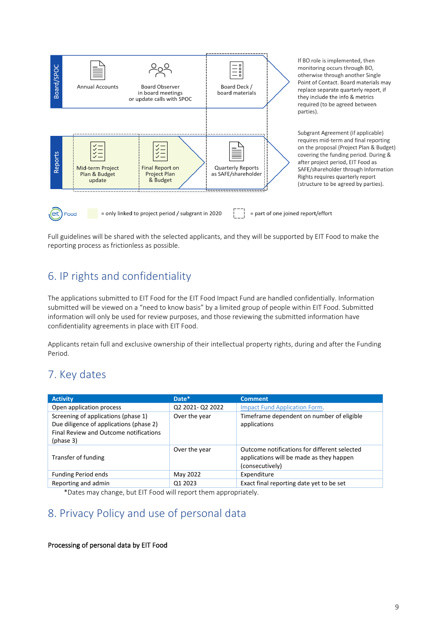

Full guidelines will be shared with the selected applicants, and they will be supported by EIT Food to make the reporting process as frictionless as possible.

# <span id="page-8-0"></span>6. IP rights and confidentiality

The applications submitted to EIT Food for the EIT Food Impact Fund are handled confidentially. Information submitted will be viewed on a "need to know basis" by a limited group of people within EIT Food. Submitted information will only be used for review purposes, and those reviewing the submitted information have confidentiality agreements in place with EIT Food.

Applicants retain full and exclusive ownership of their intellectual property rights, during and after the Funding Period.

# <span id="page-8-1"></span>7. Key dates

| <b>Activity</b>                                                                                                                       | Date*            | <b>Comment</b>                                                                                              |
|---------------------------------------------------------------------------------------------------------------------------------------|------------------|-------------------------------------------------------------------------------------------------------------|
| Open application process                                                                                                              | Q2 2021- Q2 2022 | Impact Fund Application Form.                                                                               |
| Screening of applications (phase 1)<br>Due diligence of applications (phase 2)<br>Final Review and Outcome notifications<br>(phase 3) | Over the year    | Timeframe dependent on number of eligible<br>applications                                                   |
| Transfer of funding                                                                                                                   | Over the year    | Outcome notifications for different selected<br>applications will be made as they happen<br>(consecutively) |
| <b>Funding Period ends</b>                                                                                                            | May 2022         | Expenditure                                                                                                 |
| Reporting and admin                                                                                                                   | Q1 2023          | Exact final reporting date yet to be set                                                                    |

\*Dates may change, but EIT Food will report them appropriately.

# <span id="page-8-2"></span>8. Privacy Policy and use of personal data

#### Processing of personal data by EIT Food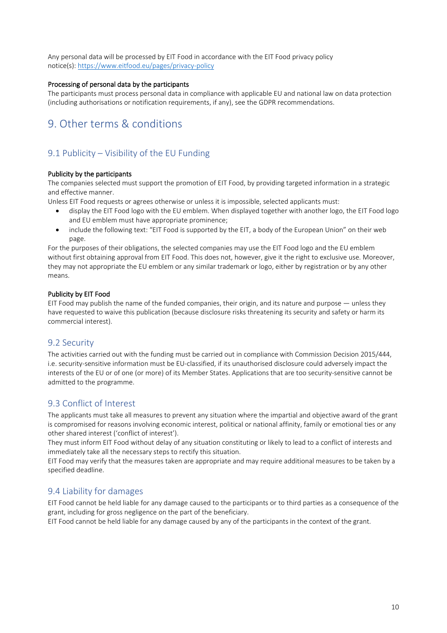Any personal data will be processed by EIT Food in accordance with the EIT Food privacy policy notice(s): <https://www.eitfood.eu/pages/privacy-policy>

#### Processing of personal data by the participants

The participants must process personal data in compliance with applicable EU and national law on data protection (including authorisations or notification requirements, if any), see the GDPR recommendations.

# <span id="page-9-0"></span>9. Other terms & conditions

### 9.1 Publicity – Visibility of the EU Funding

#### Publicity by the participants

The companies selected must support the promotion of EIT Food, by providing targeted information in a strategic and effective manner.

Unless EIT Food requests or agrees otherwise or unless it is impossible, selected applicants must:

- display the EIT Food logo with the EU emblem. When displayed together with another logo, the EIT Food logo and EU emblem must have appropriate prominence;
- include the following text: "EIT Food is supported by the EIT, a body of the European Union" on their web page.

For the purposes of their obligations, the selected companies may use the EIT Food logo and the EU emblem without first obtaining approval from EIT Food. This does not, however, give it the right to exclusive use. Moreover, they may not appropriate the EU emblem or any similar trademark or logo, either by registration or by any other means.

#### Publicity by EIT Food

EIT Food may publish the name of the funded companies, their origin, and its nature and purpose — unless they have requested to waive this publication (because disclosure risks threatening its security and safety or harm its commercial interest).

### 9.2 Security

The activities carried out with the funding must be carried out in compliance with Commission Decision 2015/444, i.e. security-sensitive information must be EU-classified, if its unauthorised disclosure could adversely impact the interests of the EU or of one (or more) of its Member States. Applications that are too security-sensitive cannot be admitted to the programme.

### 9.3 Conflict of Interest

The applicants must take all measures to prevent any situation where the impartial and objective award of the grant is compromised for reasons involving economic interest, political or national affinity, family or emotional ties or any other shared interest ('conflict of interest').

They must inform EIT Food without delay of any situation constituting or likely to lead to a conflict of interests and immediately take all the necessary steps to rectify this situation.

EIT Food may verify that the measures taken are appropriate and may require additional measures to be taken by a specified deadline.

### 9.4 Liability for damages

EIT Food cannot be held liable for any damage caused to the participants or to third parties as a consequence of the grant, including for gross negligence on the part of the beneficiary.

EIT Food cannot be held liable for any damage caused by any of the participants in the context of the grant.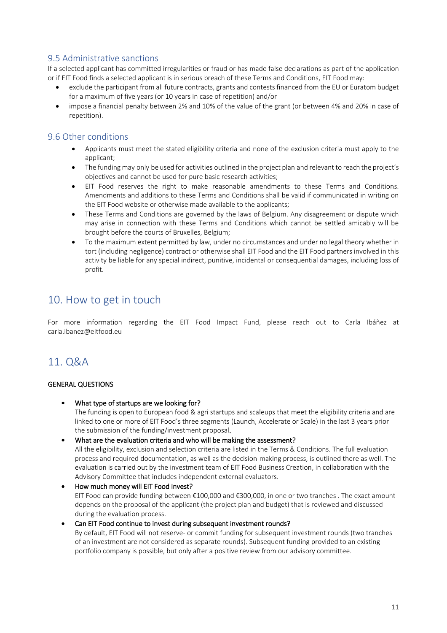### 9.5 Administrative sanctions

If a selected applicant has committed irregularities or fraud or has made false declarations as part of the application or if EIT Food finds a selected applicant is in serious breach of these Terms and Conditions, EIT Food may:

- exclude the participant from all future contracts, grants and contests financed from the EU or Euratom budget for a maximum of five years (or 10 years in case of repetition) and/or
- impose a financial penalty between 2% and 10% of the value of the grant (or between 4% and 20% in case of repetition).

### 9.6 Other conditions

- Applicants must meet the stated eligibility criteria and none of the exclusion criteria must apply to the applicant;
- The funding may only be used for activities outlined in the project plan and relevant to reach the project's objectives and cannot be used for pure basic research activities;
- EIT Food reserves the right to make reasonable amendments to these Terms and Conditions. Amendments and additions to these Terms and Conditions shall be valid if communicated in writing on the EIT Food website or otherwise made available to the applicants;
- These Terms and Conditions are governed by the laws of Belgium. Any disagreement or dispute which may arise in connection with these Terms and Conditions which cannot be settled amicably will be brought before the courts of Bruxelles, Belgium;
- To the maximum extent permitted by law, under no circumstances and under no legal theory whether in tort (including negligence) contract or otherwise shall EIT Food and the EIT Food partners involved in this activity be liable for any special indirect, punitive, incidental or consequential damages, including loss of profit.

# <span id="page-10-0"></span>10. How to get in touch

For more information regarding the EIT Food Impact Fund, please reach out to Carla Ibáñez at carla.ibanez@eitfood.eu

# <span id="page-10-1"></span>11. Q&A

#### GENERAL QUESTIONS

- What type of startups are we looking for? The funding is open to European food & agri startups and scaleups that meet the eligibility criteria and are linked to one or more of EIT Food's three segments (Launch, Accelerate or Scale) in the last 3 years prior the submission of the funding/investment proposal.
- What are the evaluation criteria and who will be making the assessment?

All the eligibility, exclusion and selection criteria are listed in the Terms & Conditions. The full evaluation process and required documentation, as well as the decision-making process, is outlined there as well. The evaluation is carried out by the investment team of EIT Food Business Creation, in collaboration with the Advisory Committee that includes independent external evaluators.

• How much money will EIT Food invest? EIT Food can provide funding between €100,000 and €300,000, in one or two tranches . The exact amount depends on the proposal of the applicant (the project plan and budget) that is reviewed and discussed during the evaluation process.

• Can EIT Food continue to invest during subsequent investment rounds? By default, EIT Food will not reserve- or commit funding for subsequent investment rounds (two tranches of an investment are not considered as separate rounds). Subsequent funding provided to an existing portfolio company is possible, but only after a positive review from our advisory committee.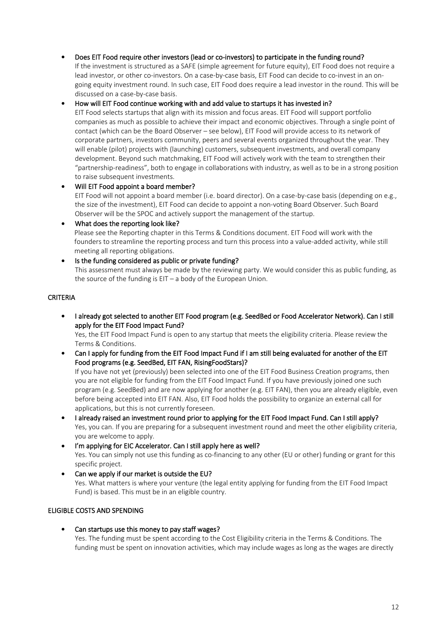#### • Does EIT Food require other investors (lead or co-investors) to participate in the funding round?

If the investment is structured as a SAFE (simple agreement for future equity), EIT Food does not require a lead investor, or other co-investors. On a case-by-case basis, EIT Food can decide to co-invest in an ongoing equity investment round. In such case, EIT Food does require a lead investor in the round. This will be discussed on a case-by-case basis.

#### • How will EIT Food continue working with and add value to startups it has invested in?

EIT Food selects startups that align with its mission and focus areas. EIT Food will support portfolio companies as much as possible to achieve their impact and economic objectives. Through a single point of contact (which can be the Board Observer – see below), EIT Food will provide access to its network of corporate partners, investors community, peers and several events organized throughout the year. They will enable (pilot) projects with (launching) customers, subsequent investments, and overall company development. Beyond such matchmaking, EIT Food will actively work with the team to strengthen their "partnership-readiness", both to engage in collaborations with industry, as well as to be in a strong position to raise subsequent investments.

### • Will EIT Food appoint a board member? EIT Food will not appoint a board member (i.e. board director). On a case-by-case basis (depending on e.g., the size of the investment), EIT Food can decide to appoint a non-voting Board Observer. Such Board Observer will be the SPOC and actively support the management of the startup.

• What does the reporting look like? Please see the Reporting chapter in this Terms & Conditions document. EIT Food will work with the founders to streamline the reporting process and turn this process into a value-added activity, while still meeting all reporting obligations.

#### Is the funding considered as public or private funding?

This assessment must always be made by the reviewing party. We would consider this as public funding, as the source of the funding is  $EIT - a$  body of the European Union.

#### CRITERIA

• I already got selected to another EIT Food program (e.g. SeedBed or Food Accelerator Network). Can I still apply for the EIT Food Impact Fund?

Yes, the EIT Food Impact Fund is open to any startup that meets the eligibility criteria. Please review the Terms & Conditions.

• Can I apply for funding from the EIT Food Impact Fund if I am still being evaluated for another of the EIT Food programs (e.g. SeedBed, EIT FAN, RisingFoodStars)?

If you have not yet (previously) been selected into one of the EIT Food Business Creation programs, then you are not eligible for funding from the EIT Food Impact Fund. If you have previously joined one such program (e.g. SeedBed) and are now applying for another (e.g. EIT FAN), then you are already eligible, even before being accepted into EIT FAN. Also, EIT Food holds the possibility to organize an external call for applications, but this is not currently foreseen.

- I already raised an investment round prior to applying for the EIT Food Impact Fund. Can I still apply? Yes, you can. If you are preparing for a subsequent investment round and meet the other eligibility criteria, you are welcome to apply.
- I'm applying for EIC Accelerator. Can I still apply here as well? Yes. You can simply not use this funding as co-financing to any other (EU or other) funding or grant for this specific project.
- Can we apply if our market is outside the EU? Yes. What matters is where your venture (the legal entity applying for funding from the EIT Food Impact Fund) is based. This must be in an eligible country.

#### ELIGIBLE COSTS AND SPENDING

Can startups use this money to pay staff wages? Yes. The funding must be spent according to the Cost Eligibility criteria in the Terms & Conditions. The funding must be spent on innovation activities, which may include wages as long as the wages are directly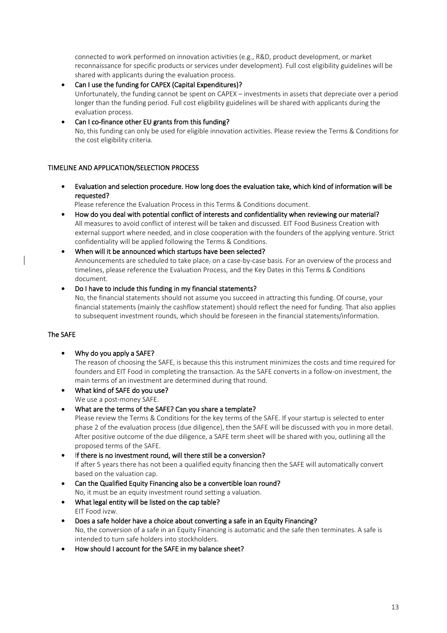connected to work performed on innovation activities (e.g., R&D, product development, or market reconnaissance for specific products or services under development). Full cost eligibility guidelines will be shared with applicants during the evaluation process.

- Can I use the funding for CAPEX (Capital Expenditures)? Unfortunately, the funding cannot be spent on CAPEX – investments in assets that depreciate over a period longer than the funding period. Full cost eligibility guidelines will be shared with applicants during the evaluation process.
- Can I co-finance other EU grants from this funding? No, this funding can only be used for eligible innovation activities. Please review the Terms & Conditions for the cost eligibility criteria.

### TIMELINE AND APPLICATION/SELECTION PROCESS

• Evaluation and selection procedure. How long does the evaluation take, which kind of information will be requested?

Please reference the Evaluation Process in this Terms & Conditions document.

- How do you deal with potential conflict of interests and confidentiality when reviewing our material? All measures to avoid conflict of interest will be taken and discussed. EIT Food Business Creation with external support where needed, and in close cooperation with the founders of the applying venture. Strict confidentiality will be applied following the Terms & Conditions.
- When will it be announced which startups have been selected? Announcements are scheduled to take place<sub>7</sub> on a case-by-case basis. For an overview of the process and timelines, please reference the Evaluation Process, and the Key Dates in this Terms & Conditions document.

#### • Do I have to include this funding in my financial statements?

No, the financial statements should not assume you succeed in attracting this funding. Of course, your financial statements (mainly the cashflow statement) should reflect the need for funding. That also applies to subsequent investment rounds, which should be foreseen in the financial statements/information.

#### The SAFE

• Why do you apply a SAFE?

The reason of choosing the SAFE, is because this this instrument minimizes the costs and time required for founders and EIT Food in completing the transaction. As the SAFE converts in a follow-on investment, the main terms of an investment are determined during that round.

- What kind of SAFE do you use? We use a post-money SAFE.
- What are the terms of the SAFE? Can you share a template?

Please review the Terms & Conditions for the key terms of the SAFE. If your startup is selected to enter phase 2 of the evaluation process (due diligence), then the SAFE will be discussed with you in more detail. After positive outcome of the due diligence, a SAFE term sheet will be shared with you, outlining all the proposed terms of the SAFE.

- If there is no investment round, will there still be a conversion? If after 5 years there has not been a qualified equity financing then the SAFE will automatically convert based on the valuation cap.
- Can the Qualified Equity Financing also be a convertible loan round? No, it must be an equity investment round setting a valuation.
- What legal entity will be listed on the cap table? EIT Food ivzw.
- Does a safe holder have a choice about converting a safe in an Equity Financing? No, the conversion of a safe in an Equity Financing is automatic and the safe then terminates. A safe is intended to turn safe holders into stockholders.
- How should I account for the SAFE in my balance sheet?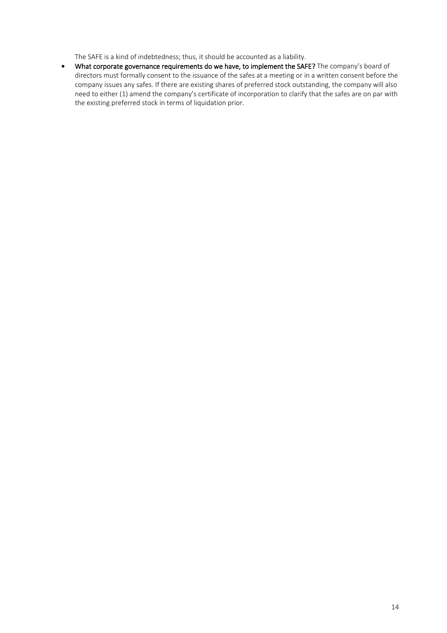The SAFE is a kind of indebtedness; thus, it should be accounted as a liability.

• What corporate governance requirements do we have, to implement the SAFE? The company's board of directors must formally consent to the issuance of the safes at a meeting or in a written consent before the company issues any safes. If there are existing shares of preferred stock outstanding, the company will also need to either (1) amend the company's certificate of incorporation to clarify that the safes are on par with the existing preferred stock in terms of liquidation prior.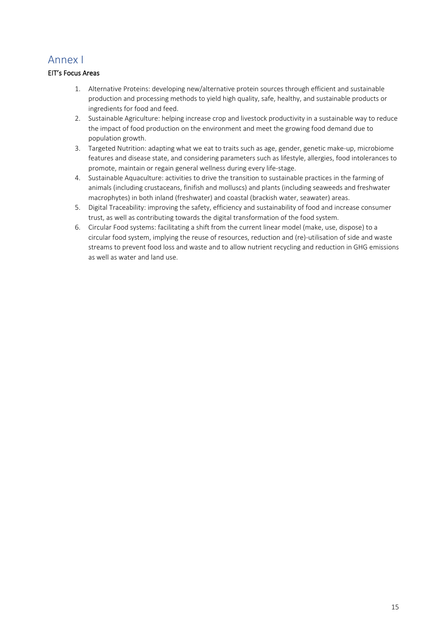# <span id="page-14-0"></span>Annex I

### EIT's Focus Areas

- 1. Alternative Proteins: developing new/alternative protein sources through efficient and sustainable production and processing methods to yield high quality, safe, healthy, and sustainable products or ingredients for food and feed.
- 2. Sustainable Agriculture: helping increase crop and livestock productivity in a sustainable way to reduce the impact of food production on the environment and meet the growing food demand due to population growth.
- 3. Targeted Nutrition: adapting what we eat to traits such as age, gender, genetic make-up, microbiome features and disease state, and considering parameters such as lifestyle, allergies, food intolerances to promote, maintain or regain general wellness during every life-stage.
- 4. Sustainable Aquaculture: activities to drive the transition to sustainable practices in the farming of animals (including crustaceans, finifish and molluscs) and plants (including seaweeds and freshwater macrophytes) in both inland (freshwater) and coastal (brackish water, seawater) areas.
- 5. Digital Traceability: improving the safety, efficiency and sustainability of food and increase consumer trust, as well as contributing towards the digital transformation of the food system.
- 6. Circular Food systems: facilitating a shift from the current linear model (make, use, dispose) to a circular food system, implying the reuse of resources, reduction and (re)-utilisation of side and waste streams to prevent food loss and waste and to allow nutrient recycling and reduction in GHG emissions as well as water and land use.